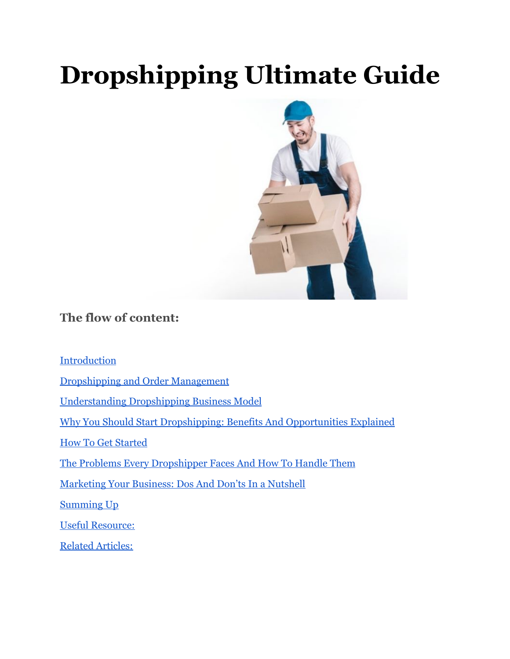# **Dropshipping Ultimate Guide**



#### **The flow of content:**

**Introduction** 

[Dropshipping and Order Management](#page-2-0)

[Understanding Dropshipping Business Model](#page-1-0)

Why You Should Start Dropshipping: Benefits And Opportunities Explained

[How To Get Started](#page-5-0)

[The Problems Every Dropshipper Faces And How To Handle Them](#page-13-0)

[Marketing Your Business: Dos And Don'ts In a Nutshell](#page-14-0)

[Summing Up](#page-15-0)

Useful Resource:

[Related Articles:](#page-15-1)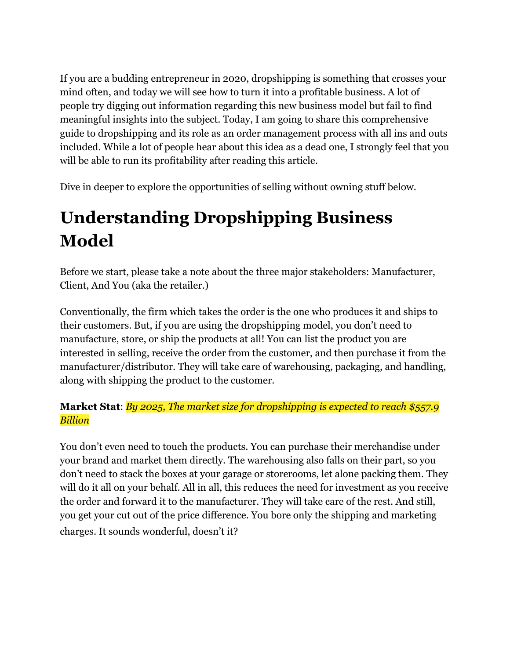If you are a budding entrepreneur in 2020, dropshipping is something that crosses your mind often, and today we will see how to turn it into a profitable business. A lot of people try digging out information regarding this new business model but fail to find meaningful insights into the subject. Today, I am going to share this comprehensive guide to dropshipping and its role as an order management process with all ins and outs included. While a lot of people hear about this idea as a dead one, I strongly feel that you will be able to run its profitability after reading this article.

Dive in deeper to explore the opportunities of selling without owning stuff below.

# <span id="page-1-0"></span>**Understanding Dropshipping Business Model**

Before we start, please take a note about the three major stakeholders: Manufacturer, Client, And You (aka the retailer.)

Conventionally, the firm which takes the order is the one who produces it and ships to their customers. But, if you are using the dropshipping model, you don't need to manufacture, store, or ship the products at all! You can list the product you are interested in selling, receive the order from the customer, and then purchase it from the manufacturer/distributor. They will take care of warehousing, packaging, and handling, along with shipping the product to the customer.

#### **Market Stat**: *By 2025, The market size for dropshipping is expected to reach [\\$557.9](https://www.prnewswire.com/news-releases/dropshipping-market-size-worth-557-9-billion-by-2025--cagr-28-8-grand-view-research-inc-300989459.html) [Billion](https://www.prnewswire.com/news-releases/dropshipping-market-size-worth-557-9-billion-by-2025--cagr-28-8-grand-view-research-inc-300989459.html)*

You don't even need to touch the products. You can purchase their merchandise under your brand and market them directly. The warehousing also falls on their part, so you don't need to stack the boxes at your garage or storerooms, let alone packing them. They will do it all on your behalf. All in all, this reduces the need for investment as you receive the order and forward it to the manufacturer. They will take care of the rest. And still, you get your cut out of the price difference. You bore only the shipping and marketing charges. It sounds wonderful, doesn't it?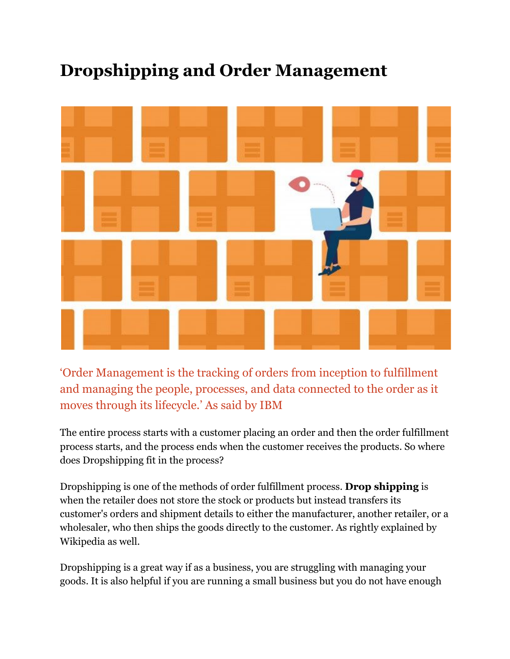### <span id="page-2-0"></span>**Dropshipping and Order Management**



'Order Management is the tracking of orders from inception to fulfillment and managing the people, processes, and data connected to the order as it moves through its lifecycle.' As said by IBM

The entire process starts with a customer placing an order and then the order fulfillment process starts, and the process ends when the customer receives the products. So where does Dropshipping fit in the process?

Dropshipping is one of the methods of order fulfillment process. **Drop shipping** is when the retailer does not store the stock or products but instead transfers its customer's orders and shipment details to either the manufacturer, another retailer, or a wholesaler, who then ships the goods directly to the customer. As rightly explained by Wikipedia as well.

Dropshipping is a great way if as a business, you are struggling with managing your goods. It is also helpful if you are running a small business but you do not have enough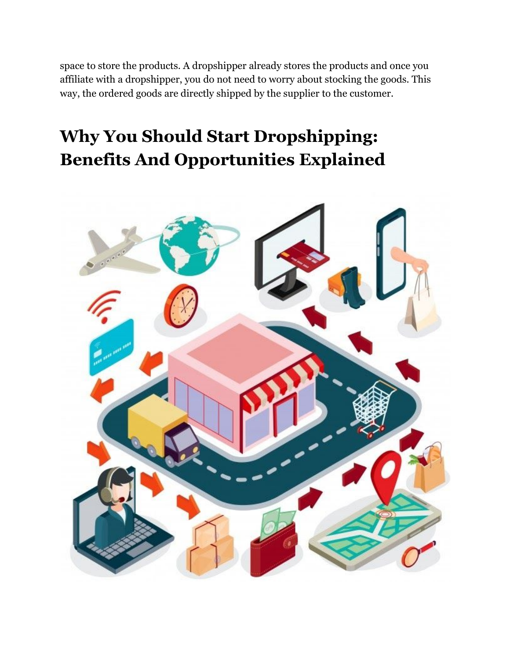space to store the products. A dropshipper already stores the products and once you affiliate with a dropshipper, you do not need to worry about stocking the goods. This way, the ordered goods are directly shipped by the supplier to the customer.

# **Why You Should Start Dropshipping: Benefits And Opportunities Explained**

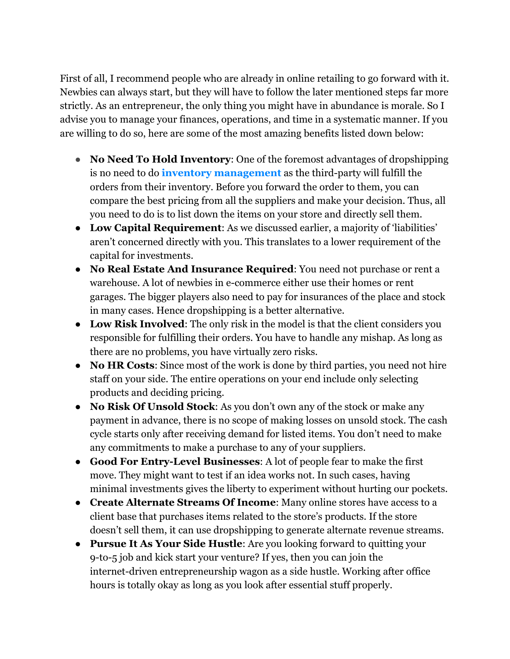First of all, I recommend people who are already in online retailing to go forward with it. Newbies can always start, but they will have to follow the later mentioned steps far more strictly. As an entrepreneur, the only thing you might have in abundance is morale. So I advise you to manage your finances, operations, and time in a systematic manner. If you are willing to do so, here are some of the most amazing benefits listed down below:

- **No Need To Hold Inventory**: One of the foremost advantages of dropshipping is no need to do **[inventory management](https://www.orderhive.com/inventory-management.html)** as the third-party will fulfill the orders from their inventory. Before you forward the order to them, you can compare the best pricing from all the suppliers and make your decision. Thus, all you need to do is to list down the items on your store and directly sell them.
- **Low Capital Requirement**: As we discussed earlier, a majority of 'liabilities' aren't concerned directly with you. This translates to a lower requirement of the capital for investments.
- **No Real Estate And Insurance Required**: You need not purchase or rent a warehouse. A lot of newbies in e-commerce either use their homes or rent garages. The bigger players also need to pay for insurances of the place and stock in many cases. Hence dropshipping is a better alternative.
- **Low Risk Involved**: The only risk in the model is that the client considers you responsible for fulfilling their orders. You have to handle any mishap. As long as there are no problems, you have virtually zero risks.
- **No HR Costs**: Since most of the work is done by third parties, you need not hire staff on your side. The entire operations on your end include only selecting products and deciding pricing.
- **No Risk Of Unsold Stock**: As you don't own any of the stock or make any payment in advance, there is no scope of making losses on unsold stock. The cash cycle starts only after receiving demand for listed items. You don't need to make any commitments to make a purchase to any of your suppliers.
- **Good For Entry-Level Businesses**: A lot of people fear to make the first move. They might want to test if an idea works not. In such cases, having minimal investments gives the liberty to experiment without hurting our pockets.
- **Create Alternate Streams Of Income**: Many online stores have access to a client base that purchases items related to the store's products. If the store doesn't sell them, it can use dropshipping to generate alternate revenue streams.
- **Pursue It As Your Side Hustle**: Are you looking forward to quitting your 9-to-5 job and kick start your venture? If yes, then you can join the internet-driven entrepreneurship wagon as a side hustle. Working after office hours is totally okay as long as you look after essential stuff properly.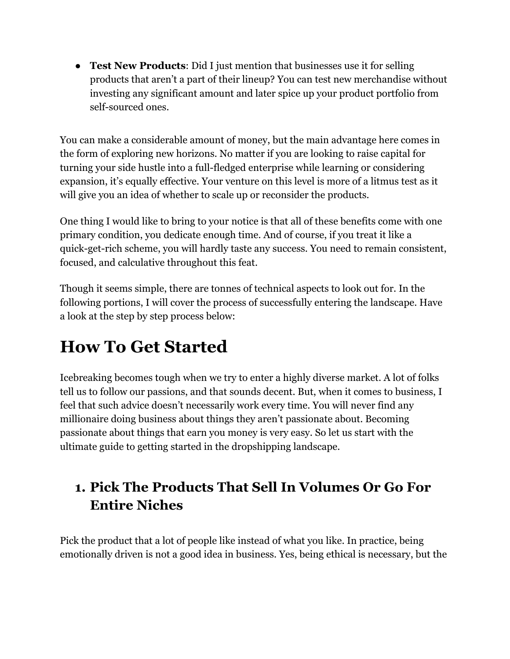**Test New Products:** Did I just mention that businesses use it for selling products that aren't a part of their lineup? You can test new merchandise without investing any significant amount and later spice up your product portfolio from self-sourced ones.

You can make a considerable amount of money, but the main advantage here comes in the form of exploring new horizons. No matter if you are looking to raise capital for turning your side hustle into a full-fledged enterprise while learning or considering expansion, it's equally effective. Your venture on this level is more of a litmus test as it will give you an idea of whether to scale up or reconsider the products.

One thing I would like to bring to your notice is that all of these benefits come with one primary condition, you dedicate enough time. And of course, if you treat it like a quick-get-rich scheme, you will hardly taste any success. You need to remain consistent, focused, and calculative throughout this feat.

Though it seems simple, there are tonnes of technical aspects to look out for. In the following portions, I will cover the process of successfully entering the landscape. Have a look at the step by step process below:

## <span id="page-5-0"></span>**How To Get Started**

Icebreaking becomes tough when we try to enter a highly diverse market. A lot of folks tell us to follow our passions, and that sounds decent. But, when it comes to business, I feel that such advice doesn't necessarily work every time. You will never find any millionaire doing business about things they aren't passionate about. Becoming passionate about things that earn you money is very easy. So let us start with the ultimate guide to getting started in the dropshipping landscape.

### **1. Pick The Products That Sell In Volumes Or Go For Entire Niches**

Pick the product that a lot of people like instead of what you like. In practice, being emotionally driven is not a good idea in business. Yes, being ethical is necessary, but the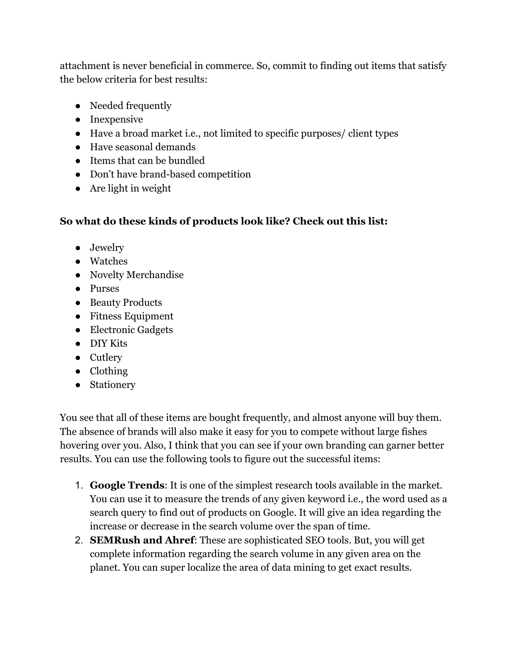attachment is never beneficial in commerce. So, commit to finding out items that satisfy the below criteria for best results:

- Needed frequently
- Inexpensive
- Have a broad market i.e., not limited to specific purposes/ client types
- Have seasonal demands
- Items that can be bundled
- Don't have brand-based competition
- Are light in weight

#### **So what do these kinds of products look like? Check out this list:**

- Jewelry
- Watches
- Novelty Merchandise
- Purses
- Beauty Products
- Fitness Equipment
- Electronic Gadgets
- DIY Kits
- Cutlery
- Clothing
- Stationery

You see that all of these items are bought frequently, and almost anyone will buy them. The absence of brands will also make it easy for you to compete without large fishes hovering over you. Also, I think that you can see if your own branding can garner better results. You can use the following tools to figure out the successful items:

- 1. **Google Trends**: It is one of the simplest research tools available in the market. You can use it to measure the trends of any given keyword i.e., the word used as a search query to find out of products on Google. It will give an idea regarding the increase or decrease in the search volume over the span of time.
- 2. **SEMRush and Ahref**: These are sophisticated SEO tools. But, you will get complete information regarding the search volume in any given area on the planet. You can super localize the area of data mining to get exact results.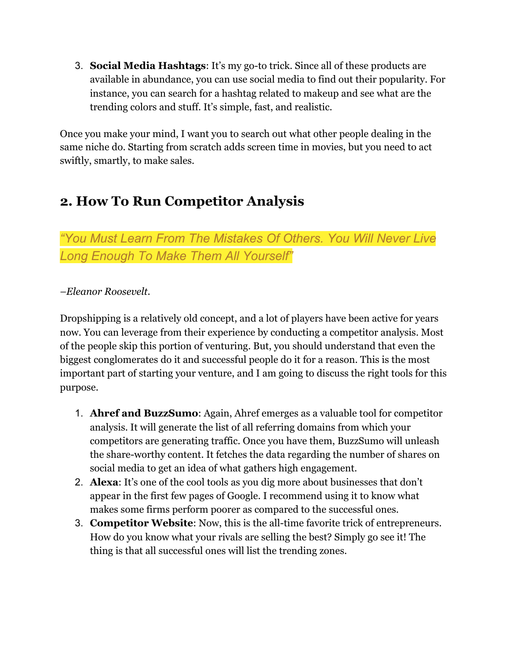3. **Social Media Hashtags**: It's my go-to trick. Since all of these products are available in abundance, you can use social media to find out their popularity. For instance, you can search for a hashtag related to makeup and see what are the trending colors and stuff. It's simple, fast, and realistic.

Once you make your mind, I want you to search out what other people dealing in the same niche do. Starting from scratch adds screen time in movies, but you need to act swiftly, smartly, to make sales.

### **2. How To Run Competitor Analysis**

*"You Must Learn From The Mistakes Of Others. You Will Never Live Long Enough To Make Them All Yourself"*

#### *–[Eleanor Roosevelt](https://www.whitehouse.gov/about-the-white-house/first-ladies/anna-eleanor-roosevelt/).*

Dropshipping is a relatively old concept, and a lot of players have been active for years now. You can leverage from their experience by conducting a competitor analysis. Most of the people skip this portion of venturing. But, you should understand that even the biggest conglomerates do it and successful people do it for a reason. This is the most important part of starting your venture, and I am going to discuss the right tools for this purpose.

- 1. **Ahref and BuzzSumo**: Again, Ahref emerges as a valuable tool for competitor analysis. It will generate the list of all referring domains from which your competitors are generating traffic. Once you have them, BuzzSumo will unleash the share-worthy content. It fetches the data regarding the number of shares on social media to get an idea of what gathers high engagement.
- 2. **Alexa**: It's one of the cool tools as you dig more about businesses that don't appear in the first few pages of Google. I recommend using it to know what makes some firms perform poorer as compared to the successful ones.
- 3. **Competitor Website**: Now, this is the all-time favorite trick of entrepreneurs. How do you know what your rivals are selling the best? Simply go see it! The thing is that all successful ones will list the trending zones.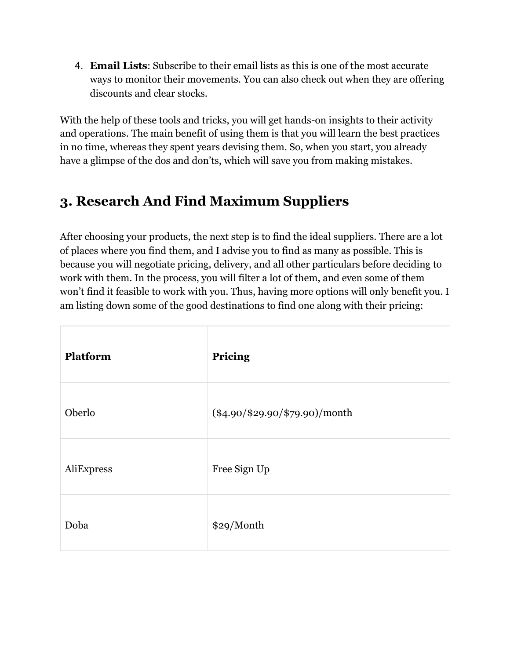4. **Email Lists**: Subscribe to their email lists as this is one of the most accurate ways to monitor their movements. You can also check out when they are offering discounts and clear stocks.

With the help of these tools and tricks, you will get hands-on insights to their activity and operations. The main benefit of using them is that you will learn the best practices in no time, whereas they spent years devising them. So, when you start, you already have a glimpse of the dos and don'ts, which will save you from making [mistakes](https://www.orderhive.com/major-common-invoicing-mistakes-and-how-to-avoid-them?type=blog).

### **3. Research And Find Maximum Suppliers**

After choosing your products, the next step is to find the ideal suppliers. There are a lot of places where you find them, and I advise you to find as many as possible. This is because you will negotiate pricing, delivery, and all other particulars before deciding to work with them. In the process, you will filter a lot of them, and even some of them won't find it feasible to work with you. Thus, having more options will only benefit you. I am listing down some of the good destinations to find one along with their pricing:

| Platform   | Pricing                          |
|------------|----------------------------------|
| Oberlo     | $(\$4.90/\$29.90/\$79.90$ /month |
| AliExpress | Free Sign Up                     |
| Doba       | \$29/Month                       |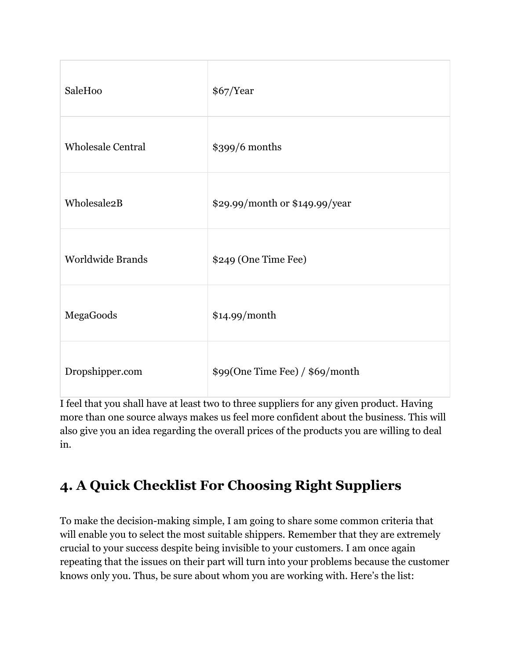| SaleHoo                  | \$67/Year                       |
|--------------------------|---------------------------------|
| <b>Wholesale Central</b> | \$399/6 months                  |
| Wholesale <sub>2</sub> B | \$29.99/month or \$149.99/year  |
| <b>Worldwide Brands</b>  | \$249 (One Time Fee)            |
| MegaGoods                | \$14.99/month                   |
| Dropshipper.com          | \$99(One Time Fee) / \$69/month |

I feel that you shall have at least two to three suppliers for any given product. Having more than one source always makes us feel more confident about the business. This will also give you an idea regarding the overall prices of the products you are willing to deal in.

### **4. A Quick Checklist For Choosing Right Suppliers**

To make the decision-making simple, I am going to share some common criteria that will enable you to select the most suitable shippers. Remember that they are extremely crucial to your success despite being invisible to your customers. I am once again repeating that the issues on their part will turn into your problems because the customer knows only you. Thus, be sure about whom you are working with. Here's the list: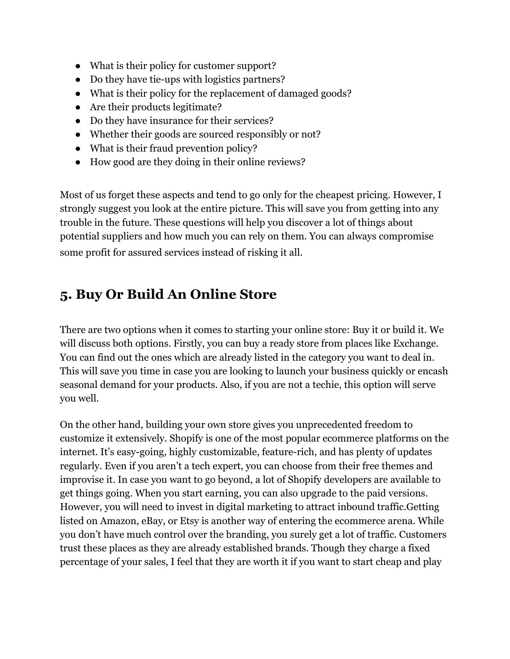- What is their policy for customer support?
- Do they have tie-ups with logistics partners?
- What is their policy for the replacement of damaged goods?
- Are their products legitimate?
- Do they have insurance for their services?
- Whether their goods are sourced responsibly or not?
- What is their fraud prevention policy?
- How good are they doing in their online reviews?

Most of us forget these aspects and tend to go only for the cheapest pricing. However, I strongly suggest you look at the entire picture. This will save you from getting into any trouble in the future. These questions will help you discover a lot of things about potential suppliers and how much you can rely on them. You can always compromise some profit for assured services instead of risking it all.

#### **5. Buy Or Build An Online Store**

There are two options when it comes to starting your online store: Buy it or build it. We will discuss both options. Firstly, you can buy a ready store from places like [Exchange.](https://exchange.shopify.com/categories/dropshipping) You can find out the ones which are already listed in the category you want to deal in. This will save you time in case you are looking to launch your business quickly or encash seasonal demand for your products. Also, if you are not a techie, this option will serve you well.

On the other hand, building your own store gives you unprecedented freedom to customize it extensively. Shopify is one of the most popular ecommerce platforms on the internet. It's easy-going, highly customizable, feature-rich, and has plenty of updates regularly. Even if you aren't a tech expert, you can choose from their free themes and improvise it. In case you want to go beyond, a lot of Shopify developers are available to get things going. When you start earning, you can also upgrade to the paid versions. However, you will need to invest in digital marketing to attract inbound traffic.Getting listed on Amazon, eBay, or Etsy is another way of entering the ecommerce arena. While you don't have much control over the branding, you surely get a lot of traffic. Customers trust these places as they are already established brands. Though they charge a fixed percentage of your sales, I feel that they are worth it if you want to start cheap and play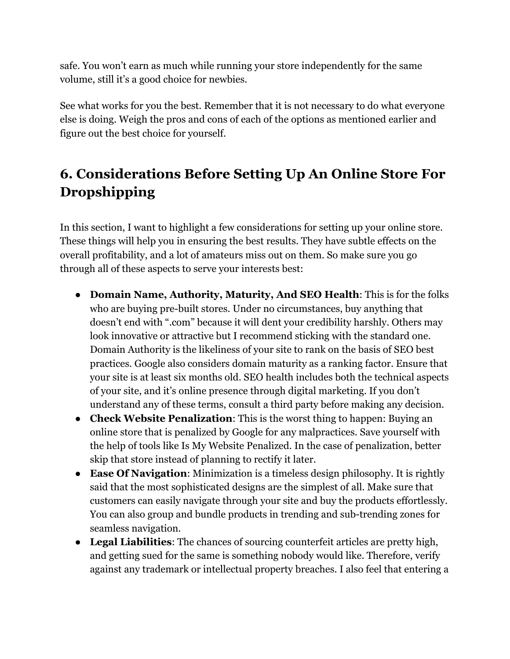safe. You won't earn as much while running your store independently for the same volume, still it's a good choice for newbies.

See what works for you the best. Remember that it is not necessary to do what everyone else is doing. Weigh the pros and cons of each of the options as mentioned earlier and figure out the best choice for yourself.

### **6. Considerations Before Setting Up An Online Store For Dropshipping**

In this section, I want to highlight a few considerations for setting up your online store. These things will help you in ensuring the best results. They have subtle effects on the overall profitability, and a lot of amateurs miss out on them. So make sure you go through all of these aspects to serve your interests best:

- **Domain Name, Authority, Maturity, And SEO Health**: This is for the folks who are buying pre-built stores. Under no circumstances, buy anything that doesn't end with ".com" because it will dent your credibility harshly. Others may look innovative or attractive but I recommend sticking with the standard one. Domain Authority is the likeliness of your site to rank on the basis of SEO best practices. Google also considers domain maturity as a ranking factor. Ensure that your site is at least six months old. SEO health includes both the technical aspects of your site, and it's online presence through digital marketing. If you don't understand any of these terms, consult a third party before making any decision.
- **Check Website Penalization**: This is the worst thing to happen: Buying an online store that is penalized by Google for any malpractices. Save yourself with the help of tools like [Is My Website Penalized](https://ismywebsitepenalized.com/). In the case of penalization, better skip that store instead of planning to rectify it later.
- **Ease Of Navigation**: Minimization is a timeless design philosophy. It is rightly said that the most sophisticated designs are the simplest of all. Make sure that customers can easily navigate through your site and buy the products effortlessly. You can also group and bundle products in trending and sub-trending zones for seamless navigation.
- **Legal Liabilities**: The chances of sourcing counterfeit articles are pretty high, and getting sued for the same is something nobody would like. Therefore, verify against any trademark or intellectual property breaches. I also feel that entering a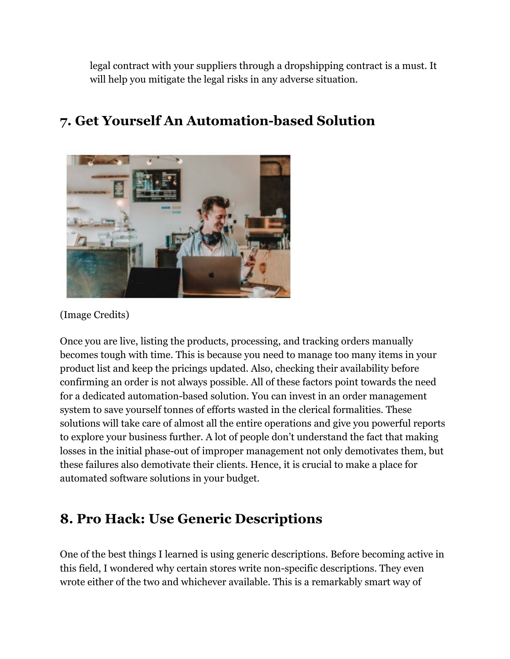legal contract with your suppliers through a dropshipping contract is a must. It will help you mitigate the legal risks in any adverse situation.



### **7. Get Yourself An Automation-based Solution**

[\(Image Credits\)](https://unsplash.com/photos/TluMvvrZ57g)

Once you are live, listing the products, processing, and tracking orders manually becomes tough with time. This is because you need to manage too many items in your product list and keep the pricings updated. Also, checking their availability before confirming an order is not always possible. All of these factors point towards the need for a dedicated [automation-based solution](https://www.orderhive.com/5-reasons-why-you-should-choose-an-automated-operations-management-software?type=blog). You can invest in an [order management](https://www.orderhive.com/order-management-system.html) [system](https://www.orderhive.com/order-management-system.html) to save yourself tonnes of efforts wasted in the clerical formalities. These solutions will take care of almost all the entire operations and give you [powerful reports](https://www.orderhive.com/reporting-analytics.html) to explore your business further. A lot of people don't understand the fact that making losses in the initial phase-out of improper management not only demotivates them, but these failures also demotivate their clients. Hence, it is crucial to make a place for automated software solutions in your budget.

#### **8. Pro Hack: Use Generic Descriptions**

One of the best things I learned is using generic descriptions. Before becoming active in this field, I wondered why certain stores write non-specific descriptions. They even wrote either of the two and whichever available. This is a remarkably smart way of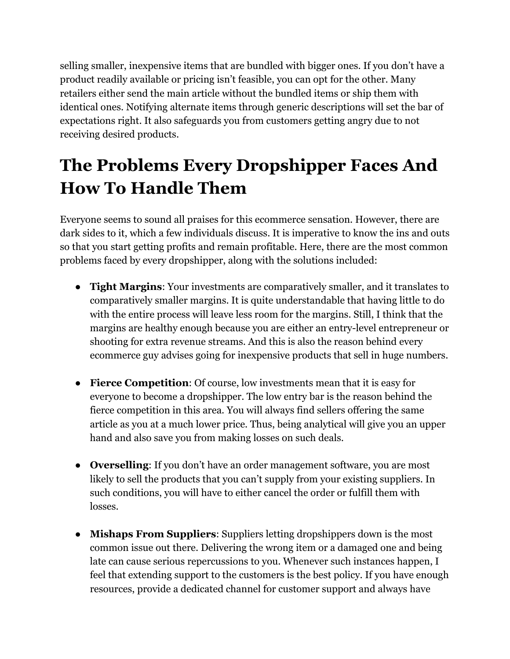selling smaller, inexpensive items that are [bundled](https://www.orderhive.com/what-is-product-bundling-uses-advantages?type=blog) with bigger ones. If you don't have a product readily available or pricing isn't feasible, you can opt for the other. Many retailers either send the main article without the bundled items or ship them with identical ones. Notifying alternate items through generic descriptions will set the bar of expectations right. It also safeguards you from customers getting angry due to not receiving desired products.

# <span id="page-13-0"></span>**The Problems Every Dropshipper Faces And How To Handle Them**

Everyone seems to sound all praises for this ecommerce sensation. However, there are dark sides to it, which a few individuals discuss. It is imperative to know the ins and outs so that you start getting profits and remain profitable. Here, there are the most common problems faced by every dropshipper, along with the solutions included:

- **Tight Margins**: Your investments are comparatively smaller, and it translates to comparatively smaller margins. It is quite understandable that having little to do with the entire process will leave less room for the margins. Still, I think that the margins are healthy enough because you are either an entry-level entrepreneur or shooting for extra revenue streams. And this is also the reason behind every ecommerce guy advises going for inexpensive products that sell in huge numbers.
- **Fierce Competition**: Of course, low investments mean that it is easy for everyone to become a dropshipper. The low entry bar is the reason behind the fierce competition in this area. You will always find sellers offering the same article as you at a much lower price. Thus, being analytical will give you an upper hand and also save you from making losses on such deals.
- **Overselling**: If you don't have an order management software, you are most likely to sell the products that you can't supply from your existing suppliers. In such conditions, you will have to either cancel the order or fulfill them with losses.
- **Mishaps From Suppliers**: Suppliers letting dropshippers down is the most common issue out there. Delivering the wrong item or a damaged one and being late can cause serious repercussions to you. Whenever such instances happen, I feel that extending support to the customers is the best policy. If you have enough resources, provide a dedicated channel for customer support and always have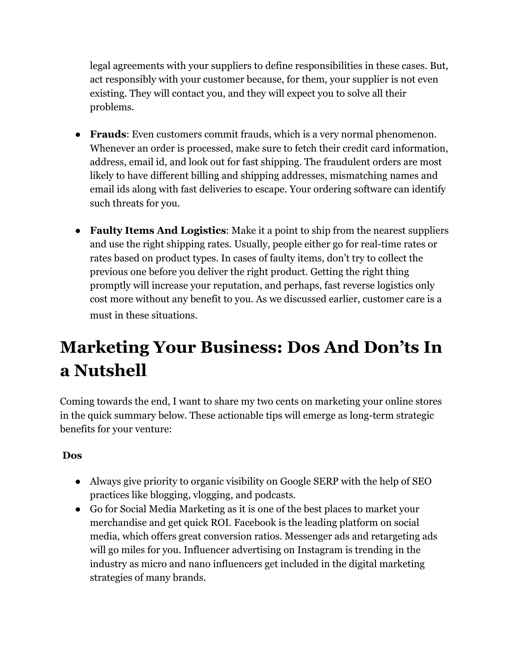legal agreements with your suppliers to define responsibilities in these cases. But, act responsibly with your customer because, for them, your supplier is not even existing. They will contact you, and they will expect you to solve all their problems.

- **Frauds**: Even customers commit frauds, which is a very normal phenomenon. Whenever an order is processed, make sure to fetch their credit card information, address, email id, and look out for fast shipping. The fraudulent orders are most likely to have different billing and shipping addresses, mismatching names and email ids along with fast deliveries to escape. Your ordering software can identify such threats for you.
- **Faulty Items And Logistics**: Make it a point to ship from the nearest suppliers and use the right shipping rates. Usually, people either go for real-time rates or rates based on product types. In cases of faulty items, don't try to collect the previous one before you deliver the right product. Getting the right thing promptly will increase your reputation, and perhaps, fast reverse logistics only cost more without any benefit to you. As we discussed earlier, customer care is a must in these situations.

# <span id="page-14-0"></span>**Marketing Your Business: Dos And Don'ts In a Nutshell**

Coming towards the end, I want to share my two cents on marketing your online stores in the quick summary below. These actionable tips will emerge as long-term strategic benefits for your venture:

#### **Dos**

- Always give priority to organic visibility on Google SERP with the help of SEO practices like blogging, vlogging, and podcasts.
- Go for Social Media Marketing as it is one of the best places to market your merchandise and get quick ROI. Facebook is the leading platform on social media, which offers great conversion ratios. Messenger ads and retargeting ads will go miles for you. Influencer advertising on Instagram is trending in the industry as micro and nano influencers get included in the digital marketing strategies of many brands.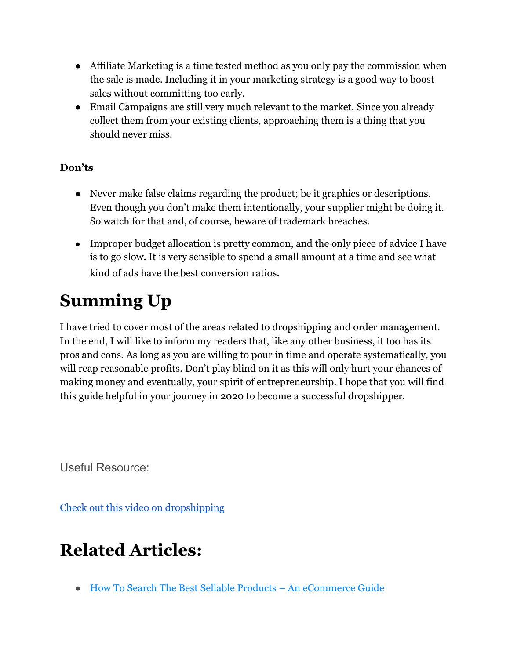- Affiliate Marketing is a time tested method as you only pay the commission when the sale is made. Including it in your marketing strategy is a good way to boost sales without committing too early.
- Email Campaigns are still very much relevant to the market. Since you already collect them from your existing clients, approaching them is a thing that you should never miss.

#### **Don'ts**

- Never make false claims regarding the product; be it graphics or descriptions. Even though you don't make them intentionally, your supplier might be doing it. So watch for that and, of course, beware of trademark breaches.
- Improper budget allocation is pretty common, and the only piece of advice I have is to go slow. It is very sensible to spend a small amount at a time and see what kind of ads have the best conversion ratios.

# <span id="page-15-0"></span>**Summing Up**

I have tried to cover most of the areas related to dropshipping and order management. In the end, I will like to inform my readers that, like any other business, it too has its pros and cons. As long as you are willing to pour in time and operate systematically, you will reap reasonable profits. Don't play blind on it as this will only hurt your chances of making money and eventually, your spirit of entrepreneurship. I hope that you will find this guide helpful in your journey in 2020 to become a successful dropshipper.

Useful Resource:

[Check out this video on dropshipping](https://youtu.be/ZWN1WdhMt3o)

### <span id="page-15-1"></span>**Related Articles:**

● [How To Search The Best Sellable Products – An eCommerce Guide](https://www.orderhive.com/how-to-search-the-best-sellable-products-an-ecommerce-guide)